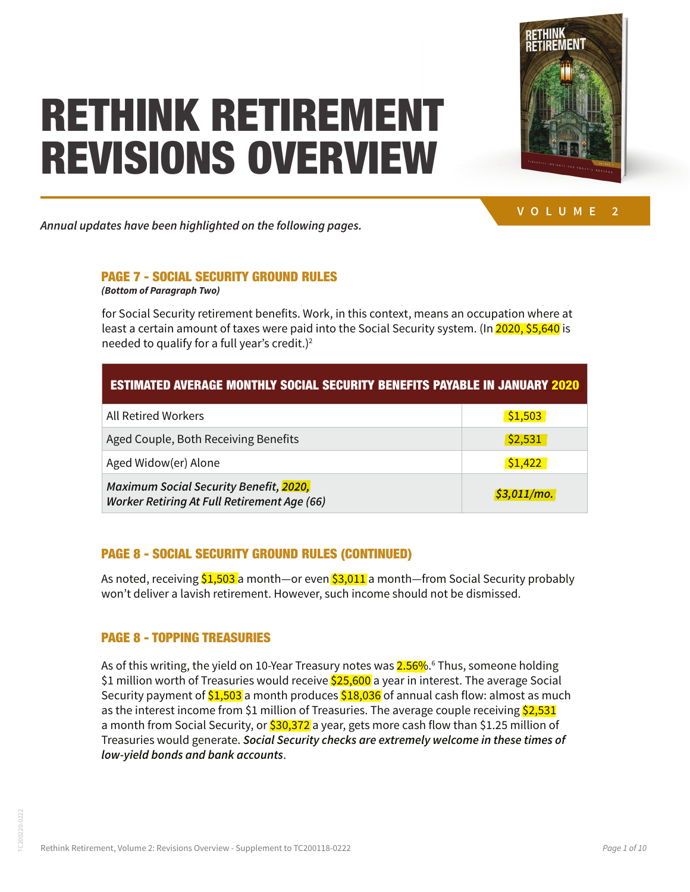#### or several decades. Or working fund a decade several security retirement of  $\mathbb{M}$ HOLALIC AUFBU Forthe Sapers, the federal government  $\boldsymbol{v}$ requirements. The same may be true for people who never had earned in the same were were income, if they were married to a qualified worker. Generally, a minimum of working work is negotiated to a minimum of working work for Social Security retirement benefits. Work, in this context, means an occupation where at least a certain amount of taxes were paid into the Social Security system. (In 2020, \$5,640 is REVISIONS OVERVIEW RETHINK RETIREMENT

benefits alone will likely be insufficient to support a



monthly earnings.

luxurious retirement, but they can play a valuable role  $\mathcal{L}$ Annual updates have been highlighted on the following pages. **higher the expected retirement benefit.** Social Security retirement benefits typically are computed **VOLUME 2**

# or working full-time can collect Social Security retirement benefits, if they meet certain benefits, if they are or were married to a qualified worker. (A divorced spouse can get bene-PAGE 7 - SOCIAL SECURITY GROUND RULES

**Frace Fritter Scould Security income, income, it is also had earned income, if they were defined at least 10 years, is also incredible at least 10 years, is also include the married income include the married at least 10** 

married to a qualified worker. Generally, a minimum of 10 years of 10 years of work is needed to qualify the t for Social Security retirement benefits. Work, in this context, means an occupation where at least a certain amount of taxes were paid into the Social Security system. (In 2020, \$5,640 is needed to qualify for a full year's credit.) $^2$ 

**The longer an individual has worked and the more someone has paid into Social Security, the** 

| <b>ESTIMATED AVERAGE MONTHLY SOCIAL SECURITY BENEFITS PAYABLE IN JANUARY 2020</b>                   |                |
|-----------------------------------------------------------------------------------------------------|----------------|
| <b>All Retired Workers</b>                                                                          | 51,503         |
| Aged Couple, Both Receiving Benefits                                                                | \$2,531        |
| Aged Widow(er) Alone                                                                                | \$1,422        |
| <b>Maximum Social Security Benefit, 2020,</b><br><b>Worker Retiring At Full Retirement Age (66)</b> | $$3,011/mol$ . |

# PAGE 8 - SOCIAL SECURITY GROUND RULES (CONTINUED)

won't deliver a lavish retirement. However, such income should not be dismissed. As noted, receiving <mark>\$1,503 </mark>a month—or even <mark>\$3,011</mark> a month—from Social Security probably

# PAGE 8 - TOPPING TREASURIES

Chapter 1: Retirement Income Sources **7** as the interest income from \$1 million of Treasuries. The average couple receiving \$2,531 as the interest income from \$1 million of Treasuries. The average couple receiving \$2,531 **Maximum Social Security Benefit, 2020,**  is of this writing, the yield on 10-Year Treasury notes was <mark>2.56%</mark>.° Thus, someone holding<br>1 million worth of Treasuries would receive <mark>\$25,600</mark> a vear in interest. The average Soci: As of this writing, the yield on 10-Year Treasury notes was <mark>2.56%</mark> 6 Thus, someone holding<br>As a dividend in the set of the set of the set of the set of the set of the set of the set of the set of the set \$1 million worth of Treasuries would receive <mark>\$25,600</mark> a year in interest. The average Social in the state of the average Social in the state of the average Social in the state of the state of the state of the state of the Security payment of \$1,503 a month produces \$18,036 of annual cash flow: almost as much Security payment of \$1,503 a month produces \$18,036 of annual cash flow: almost as much a month from Social Security, or <mark>\$30,372</mark> a year, gets more cash flow than \$1.25 million of<br>— Treasuries would generate. **Social Security checks are extremely welcome in these times of**  Treasuries would generate. **Social Security checks are extremely welcome in these times of low-yield bonds and bank accounts**. **low-yield bonds and bank accounts**.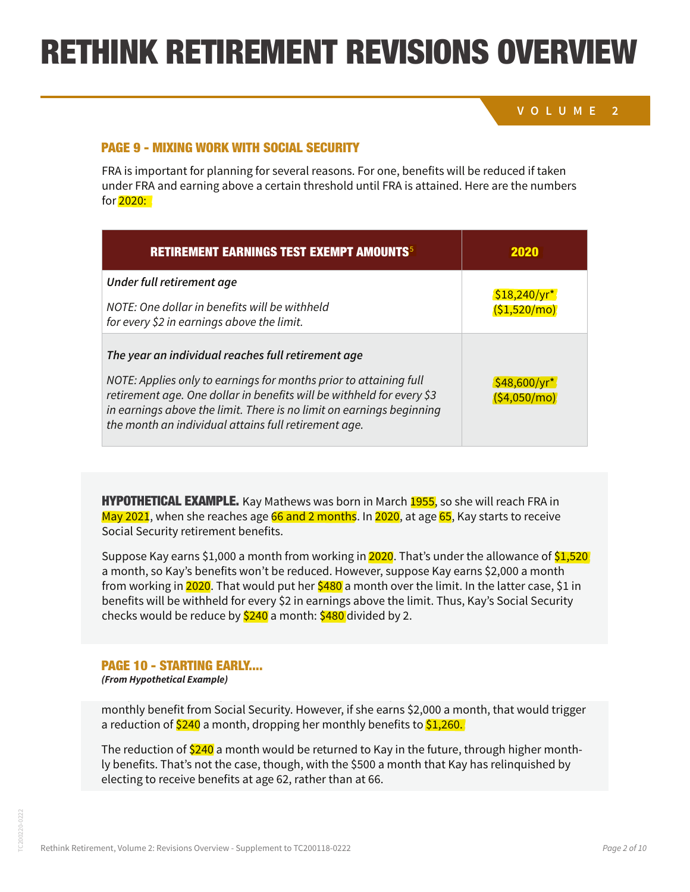## **VOLUME 2**

#### not permanently reduce Social Security benefits, due to deferred makeup amounts. However, PAGE 9 - MIXING WORK WITH SOCIAL SECURITY France important for several reasons. For one, benefits with the reduced if the reduced if the reduced if the reduced if the reduced if the reduced if the reduced if the reduced if the reduced if the reduced in the reduced

STARTING EARLY...

FRA is important for planning for several reasons. For one, benefits will be reduced if taken under FRA and earning above a certain threshold until FRA is attained. Here are the numbers for 2020:

 $A$ s mentioned, any reduction imposed before  $\mathcal{A}$  due to working while receiving benefits will receiving benefits will receive

| <b>RETIREMENT EARNINGS TEST EXEMPT AMOUNTS<sup>5</sup></b>                                                                                                                                                                                                                                                                       | <b>2020</b>                    |
|----------------------------------------------------------------------------------------------------------------------------------------------------------------------------------------------------------------------------------------------------------------------------------------------------------------------------------|--------------------------------|
| Under full retirement age<br>NOTE: One dollar in benefits will be withheld<br>for every \$2 in earnings above the limit.                                                                                                                                                                                                         | \$18,240/yr<br>(51,520/mol)    |
| The year an individual reaches full retirement age<br>NOTE: Applies only to earnings for months prior to attaining full<br>retirement age. One dollar in benefits will be withheld for every \$3<br>in earnings above the limit. There is no limit on earnings beginning<br>the month an individual attains full retirement age. | $$48,600/yr^*$<br>(54,050/mol) |

<mark>May 2021</mark>, when she reaches age <mark>66 and 2 months</mark>. In <mark>2020</mark>, at age <mark>65</mark>, Kay starts to receive Social Security retirement benefits. In 2021, at age 65, Kay starts to receive and age 65, Kay starts to receive **HYPOTHETICAL EXAMPLE.** Kay Mathews was born in March 1955, so she will reach FRA in

Social Security retirement benefits. <sup>b</sup> Applies only if you are born on the 2nd of the month; otherwise the number of reduction Suppose Kay earns \$1,000 a month from working in <mark>2020</mark>. That's under the allowance of <mark>\$1,520</mark><br>a month, so Kay's benefits won't be reduced. However, suppose Kay earns \$2,000 a month from working in <mark>2020</mark>. That would put her <mark>\$480</mark> a month over the limit. In the latter case, \$1 in benefits will be withheld for every \$2 in earnings above the limit. Thus, Kay's Social Security checks would be reduce by <mark>\$240</mark> a month: <mark>\$480</mark> divided by 2.<br>———————————————————— Suppose Kay earns \$1,000 a month from working in <mark>2020</mark>. That's under the allowance of <mark>\$1,520</mark>

#### Note that any benefits with provided before  $\mathcal{L}_{\text{max}}$  and  $\mathcal{L}_{\text{max}}$  is seen that  $\mathcal{L}_{\text{max}}$ gets a 25% reduction. Kay would receive  $\frac{1}{2}$  ,  $\frac{1}{2}$  of  $\frac{1}{2}$  of  $\frac{1}{2}$  a year from Social Security for  $\frac{1}{2}$  and Social Security for  $\frac{1}{2}$  and Social Security for  $\frac{1}{2}$  and Social Security for the rest of  $\sim$  STARTING EARLY.... note that any benefits with the families with the starting at FRA are not really benefits with the starting at F<br>(From Hypothetical Example) fits will be increased to make up for any benefits withheld. **Nevertheless, retirees with substan-**

monthly benefit from Social Security. However, if she earns \$2,000 a month, that would trigger a reduction of \$240 a month, dropping her monthly benefits to \$1,260.

The reduction of <mark>\$240</mark> a month would be returned to Kay in the future, through higher monthly benefits. That's not the case, though, with the \$500 a month that Kay has relinquished by ty benefits. That shot the ease, though, with the 3500 a month that it.<br>electing to receive benefits at age 62, rather than at 66.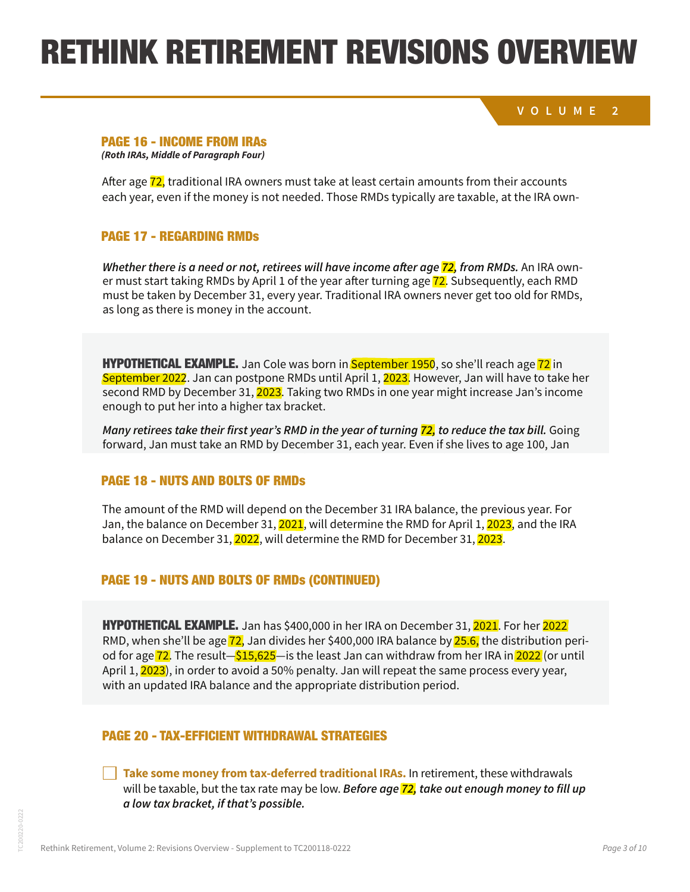## RETHINK RETIREMENT REVISIONS OVERVIEW 1. The taxpayer's first Revisions o

end result. A partial recharacterization can help address the concern of moving into a high tax

**VOLUME 2** bracket while also addressing the concern of generating too much income, which can lead to taxation of Social Security benefits. Nevertheless, IRA owners should work with knowledge-Note: Amounts contributed come out of a Roth IRA first, and can be withdrawn with  $\sim$  Note to tax or  $\sim$ 

#### able advisors in executing Roth conversions, recharacterizations, and re-conversions. Mistakes **PAGE 16 - INCOME FROM IRAs**<br>Contract consequences.

In addition, the two types of IRAs differ in one vital respect: **Traditional IRAs have required min-***(Roth IRAs, Middle of Paragraph Four)*

Alter age <mark>72,</mark> traditional ikA owners must take at least certain amounts from their accounts<br>each year, even if the money is not needed. Those RMDs typically are taxable, at the IRA own-After age 72, traditional IRA owners must take at least certain amounts from their accounts

### **PAGE 17 - REGARDING RMDs** have relatively low income, with little or no earnings from work.

**Whether there is a need or not, retirees will have income after age 72, from RMDs.** An IRA owner must start taking RMDs by April 1 of the year after turning age  $\overline{72}$ . Subsequently, each RMD must be taken by December 31, every year. Traditional IRA owners never get too old for RMDs,<br>es lang as there is monovin the asseunt as long as there is money in the account.<br>

HYPOTHETICAL EXAMPLE. Jan Cole was born in September 1950, so she'll reach age 72 in September 2022. Jan can postpone RMDs until April 1, 2023. However, Jan will have to take her second RMD by December 31, 2023. Taking two RMDs in one year might increase Jan's income enough to put her into a higher tax bracket.

Many retirees take their first year's RMD in the year of turning <mark>72,</mark> to reduce the tax bill. Going forward, Jan must take an RMD by December 31, each year. Even if she lives to age 100, Jan

#### exhed. The funds are extended.<br>In the funds are extended. **PAGE 18 - NUTS AND BOLTS OF RMDs. Traditional IRA of Property and Analysis of Property and Analysis of Property**

Jan, the balance on December 31, <mark>2021</mark>, will determine the RMD for April 1, <mark>2023</mark>, and the IRA **may convert some or all of their IRA account balances to one or more Roth IRAs. Usually the**  The amount of the RMD will depend on the December 31 IRA balance, the previous year. For **Can, are commed the Fremine Frey Line, mineric minime in the tampine, place, minime in the model of the model**  $T_{\rm{max}}$  and  $T_{\rm{max}}$  for retirement cash flow, shown the  $T_{\rm{max}}$  flow, should the original or the original  $T_{\rm{max}}$ 

### HYPOTHETICAL EXAMPLE OF THE LOCAL TIME OF THE STATE OF TRADITIONAL IRAQUIPERS CONFIDERED ASSESSED. IN HIS TRADITIONAL FROM PRETAX CON-**PAGE 19 - NUTS AND BOLTS OF RMDs (CONTINUED)**

**HYPOTHETICAL EXAMPLE.** Jan has \$400,000 in her IRA on December 31, <mark>2021</mark>. For her <mark>2022</mark> RMD, when she'll be age <mark>72,</mark> Jan divides her \$400,000 IRA balance by <mark>25.6,</mark> the distribution p od for age <mark>72</mark>. The result—<mark>\$15,625</mark>—Is the least Jan can withdraw from her IRA in <mark>2022</mark> (or until April 1, <mark>2023</mark>), in order to avoid a 50% penaity. Jan will repeat the same process every yea RMD, when she'll be age 72, Jan divides her \$400,000 IRA balance by <mark>25.6,</mark> the distribution periand, men one a be age 12, oan arriace her crooted hard additive by <mark>2010,</mark> the albumpation pent of the pre-<br>od for age 72. The result—\$15,625—is the least Jan can withdraw from her IRA in 2022 (or until but is tagently the result **the veriod for the ICA. For most period for most period for a** local dividence the I<br>April 1, 2023), in order to avoid a 50% penalty. Jan will repeat the same process every year, with an updated IRA balance and the appropriate distribution period.<br>with an updated IRA balance and the appropriate distribution period. the traditional IRA can continue to grow, tax-deferred. However, a larger traditional IRA can continue to grow **UTHETIGAL EXAMPLE.** Jan has \$400,000 in her IRA on December 31, <mark>2021</mark>. For her <mark>2022</mark> merant updated high balance and the uppropriate distribution periodic

### PAGE 20 - TAX-EFFICIENT WITHDRAWAL STRATEGIES Roth. In some situations however, tapping into a traditional IRA could be an ideal way to order

**Take some money from tax-deferred traditional IRAs.** In retirement, these withdrawals will be taxable, but the tax rate may be low. *Before <mark>age 72,</mark> take out enough money to fill up* will be taxable, but the tax rate may be low. *Before dge <mark>12,</mark> take out enough mone*<br>a low tax bracket, if that's possible.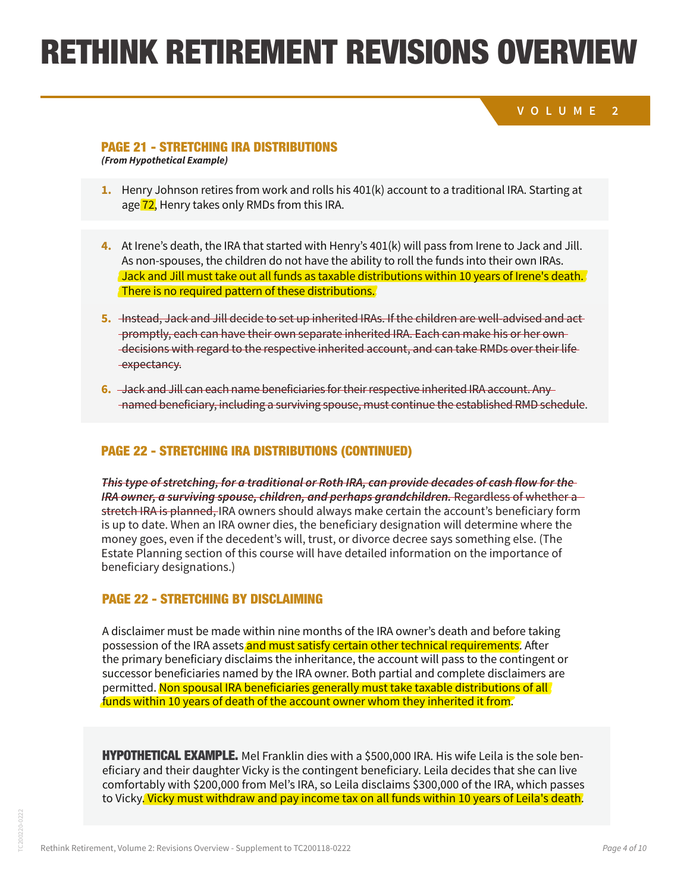# RETHINK RETIREMENT REVISIONS OVERVIEW **1.** Henry Johnson retires from work and rolls his 401(k) account to a traditional IRA. Starting at distributions to the extent allowed by law is often referred to as "stretch." Beneficiaries who finik rettirentent requirions ave HYPOTHETICAL EXAMPLE. Here's how a stretch IRA might work: proof

taxable. Roth IRA distributions paid to a beneficiary after the death of the account owner are

#### **VOLUME 2 2.** At Henry's death, his IRA passes to his wife Irene, the sole beneficiary. As the surviving spouse, Irene has a unique opportunity. Irene can roll Henry's IRA into her own IRA. Thus, **1.** Henry Johnson retires from work and rolls his 401(k) account to a traditional IRA. Starting at

#### new RMD structuring ira distributions is younger than the surviving spouse is younger than the decease is young **2.** At Henry's death, his IRA passes to his wife Irene, the sole beneficiary. As the surviving PAGE 21 - STRETCHING IRA DISTRIBUTIONS<br>'-

**which is frequently the case, the new RMD schedule may defer withdrawals and increase**  HYPOTHETICAL EXAMPLE. Here's how a stretch IRA might work: *(From Hypothetical Example)* the interventual Interventual Irene's own, so she can new beneficiaries and start and start and start and start and start and start and start and start and start and start and start and start and start and start and start

- **tax-deferred buildup. age <mark>72</mark>, Henry takes only RMDs from this IRA.** In the community of the community of the community of the community **1.** Henry Johnson retires from work and rolls his 401(k) account to a traditional IRA. Starting at which y bormbon retries from work and rotts ms fro<sub>u</sub> w*ith account to a traditional molecule* and increase and increase  $\frac{1}{2}$
- **4.** At Irene's death, the IRA that started with Henry's 401(k) will pass from Irene to Jack and Jill. At here's death, the five that started with herify's 401(k) will pass non-field to sack and t<br>As non-spouses, the children do not have the ability to roll the funds into their own IRAs.  $\sqrt{2}$  Jack and Jill must take out all funds as taxable distributions within 10 years of Irene's death. There is no required pattern of these distributions.  $\epsilon$
- promptly, each can have their own separate inherited IRA. Each can make his or her own decisions with regard to the respective inherited account, and can take RMDs over their life 4. **At Irene's death, the IRA that started with Henry's 401(k) will pass from Irene to Jack and Jill. Pass from Irene to Jack and Jill. Pass from Irene to Jack and Jill. Pass from Irene to Jack and Jill. Discovery in the I 5.** Instead, Jack and Jill decide to set up inherited IRAs. If the children are well-advised and act expectancy.
- 6. Jack and Jill can each name beneficiaries for their respective inherited IRA account. Any named beneficiary, including a surviving spouse, must continue the established RMD schedule.

## PAGE 22 - STRETCHING IRA DISTRIBUTIONS (CONTINUED)

Estate Planning section of this course will have detailed information on the importance of This type of stretching, for a traditional or Roth IRA, can provide decades of cash flow for the IRA owner, a surviving spouse, children, and perhaps grandchildren. Regardless of whether a stretch IRA is planned. IRA owners should always make certain the account's beneficiary form is up to date. When an IRA owner dies, the beneficiary designation will determine where the money goes, even if the decedent's will, trust, or divorce decree says something else. (The beneficiary designations.) **In the left to a beneficially designations** of the money. The money of money and money may pass the IRA on to contingent beneficiaries named by the deceased IRA owner, using a

#### STRETCHING BY DISCRIMING strategy known as disclaiming. **Disclaiming also may be appealing if the designated beneficia-**PAGE 22 - STRETCHING BY DISCLAIMING**ry has substantial net worth and wants to keep the IRA money out of his or her taxable estate.**

In some cases, an IRA will be left to a beneficiary who doesn't need the money. That person A disclaimer must be made within nine months of the IRA owner's death and before taking possession or the IRA assets <mark>and must satisfy certain other technical requirements</mark>. After<br>the primary beneficiary disclaims the inheritance, the account will pass to the contingent or strategy known as disclaiming. **Disclaiming also may be appealing if the designated beneficia-**successor beneficiaries named by the IRA owner. Both partial and complete disclaimers are successor benenciaries named by the IRA owner. Both partial and complete disclaimers are<br>permitted. <mark>Non spousal IRA beneficiaries generally must take taxable distributions of all</mark> funds within 10 years of death of the account owner whom they inherited it from. possession of the IRA assets and must satisfy certain other technical requirements. After

partial and complete disclaimers are permitted. to Vicky<mark>. Vicky must withdraw and pay income tax on all funds within 10 years of Leila's death</mark>. **CAL EXAMPLE.** Mel Franklin dies with a \$500,000 IRA. His wife Leila is the sold their daughter Vicky is the contingent beneficiary. Leila decides that she cally with \$200,000 from Mel's IRA, so Leila disclaims \$300,000 of HYPOTHETICAL EXAMPLE. Mel Franklin dies with a \$500,000 IRA. His wife Leila is the sole beneficiary and their daughter Vicky is the contingent beneficiary. Leila decides that she can live comfortably with \$200,000 from Mel's IRA, so Leila disclaims \$300,000 of the IRA, which passes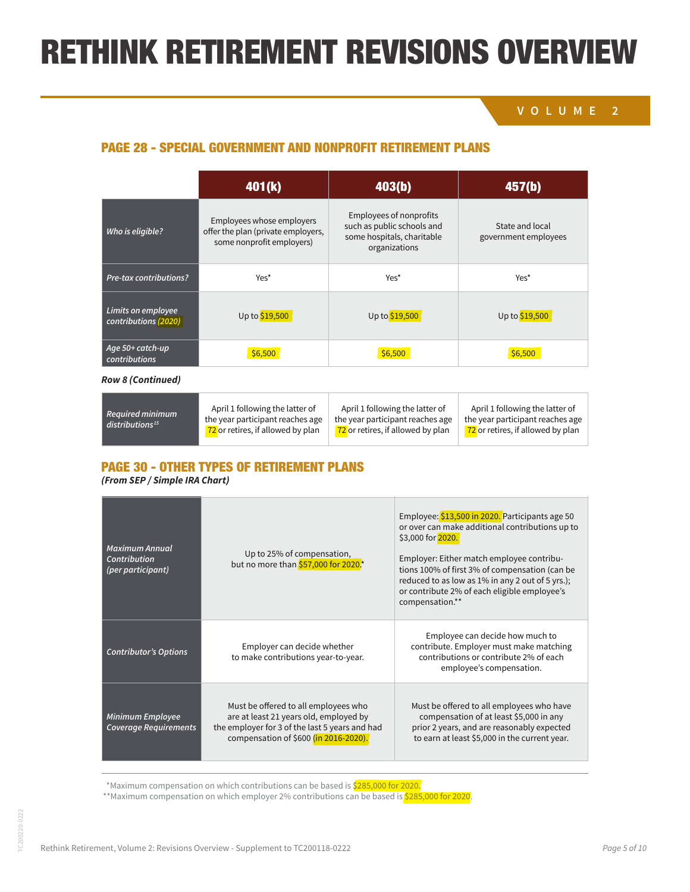some hospitals, charitable

## **VOLUME 2**

government employees

Employee: \$13,500 in 2020. Participants age 50

## PAGE 28 - SPECIAL GOVERNMENT AND NONPROFIT RETIREMENT PLANS

|                                            | 401(k)                                                                                       | 403(b)                                                                                                      | 457(b)                                  |
|--------------------------------------------|----------------------------------------------------------------------------------------------|-------------------------------------------------------------------------------------------------------------|-----------------------------------------|
| Who is eligible?                           | Employees whose employers<br>offer the plan (private employers,<br>some nonprofit employers) | <b>Employees of nonprofits</b><br>such as public schools and<br>some hospitals, charitable<br>organizations | State and local<br>government employees |
| <b>Pre-tax contributions?</b>              | Yes*                                                                                         | Yes*                                                                                                        | Yes*                                    |
| Limits on employee<br>contributions (2020) | Up to \$19,500                                                                               | Up to \$19,500                                                                                              | Up to \$19,500                          |
| Age 50+ catch-up<br>contributions          | \$6,500                                                                                      | \$6,500                                                                                                     | \$6,500                                 |

#### **Other catch-up** No Yes – 15-year rule\*\* Yes – final 3-year provision\*\*\*† *Row 8 (Continued)*

| Required minimum<br>distributions <sup>15</sup> | April 1 following the latter of<br>the year participant reaches age<br>72 or retires, if allowed by plan | April 1 following the latter of<br>the year participant reaches age<br>72 or retires, if allowed by plan | April 1 following the latter of<br>the year participant reaches age<br>72 or retires, if allowed by plan |
|-------------------------------------------------|----------------------------------------------------------------------------------------------------------|----------------------------------------------------------------------------------------------------------|----------------------------------------------------------------------------------------------------------|
|-------------------------------------------------|----------------------------------------------------------------------------------------------------------|----------------------------------------------------------------------------------------------------------|----------------------------------------------------------------------------------------------------------|

#### **THES OF KET PAGE 30 - OTHER TYPES OF RETIREMENT PLANS** if to distribution from the control of the control of the control of the control of the control of the control o<br>The control of the control of the control of the control of the control of the control of the control of the PAGE 30 - OTHER TYPES OF RETIREMENT PLANS if qualified distribution from

## (From SEP / Simple IRA Chart)

**without tax penalties**

| Maximum Annual<br>Contribution<br>(per participant)     | Up to 25% of compensation,<br>but no more than \$57,000 for 2020.*                                                                                                        | Employee: \$13,500 in 2020. Participants age 50<br>or over can make additional contributions up to<br>\$3,000 for 2020.<br>Employer: Either match employee contribu-<br>tions 100% of first 3% of compensation (can be<br>reduced to as low as 1% in any 2 out of 5 yrs.);<br>or contribute 2% of each eligible employee's<br>compensation.** |
|---------------------------------------------------------|---------------------------------------------------------------------------------------------------------------------------------------------------------------------------|-----------------------------------------------------------------------------------------------------------------------------------------------------------------------------------------------------------------------------------------------------------------------------------------------------------------------------------------------|
| <b>Contributor's Options</b>                            | Employer can decide whether<br>to make contributions year-to-year.                                                                                                        | Employee can decide how much to<br>contribute. Employer must make matching<br>contributions or contribute 2% of each<br>employee's compensation.                                                                                                                                                                                              |
| <b>Minimum Employee</b><br><b>Coverage Requirements</b> | Must be offered to all employees who<br>are at least 21 years old, employed by<br>the employer for 3 of the last 5 years and had<br>compensation of \$600 (in 2016-2020). | Must be offered to all employees who have<br>compensation of at least \$5,000 in any<br>prior 2 years, and are reasonably expected<br>to earn at least \$5,000 in the current year.                                                                                                                                                           |

Nonprofit employees may be eligible for a special kind of 457(b) plan that doesn't have the same kind of special catch-up or rollover ability as a governmental plan. The plan document must be consulted to determine whether in-service distributions Withdrawals permitted anytime subject \*Maximum compensation on which contributions can be based is \$285,000 for 2020. Withdrawals permitted and the subject of the subject of the subject of the subject of the subject of the subject of the subject of the subject of the subject of the subject of the subject of the subject of the subject of t

\*\*Maximum compensation on which employer 2% contributions can be based is <mark>\$285,000 for 2020</mark>. to federal income taxes; early with discussions of the second taxes; early with discussions of the second taxes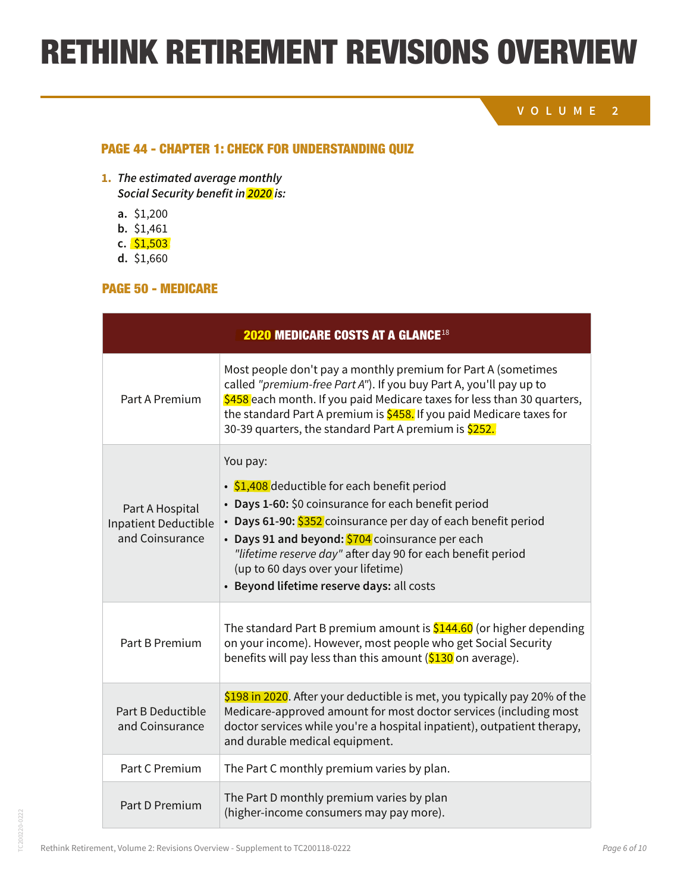## **VOLUME 2**

### PAGE 44 - CHAPTER 1: CHECK FOR UNDERSTANDING QUIZ

- **1. The estimated average monthly Social Security benefit in 2020 is:**
	- **a.** \$1,200
	- **b.** \$1,461
	- **c.** \$1,503
	- **d.** \$1,660

### PAGE 50 - MEDICARE

| <b>2020 MEDICARE COSTS AT A GLANCE 18</b>                  |                                                                                                                                                                                                                                                                                                                                                                                          |  |
|------------------------------------------------------------|------------------------------------------------------------------------------------------------------------------------------------------------------------------------------------------------------------------------------------------------------------------------------------------------------------------------------------------------------------------------------------------|--|
| Part A Premium                                             | Most people don't pay a monthly premium for Part A (sometimes<br>called "premium-free Part A"). If you buy Part A, you'll pay up to<br>\$458 each month. If you paid Medicare taxes for less than 30 quarters,<br>the standard Part A premium is \$458. If you paid Medicare taxes for<br>30-39 quarters, the standard Part A premium is \$252.                                          |  |
| Part A Hospital<br>Inpatient Deductible<br>and Coinsurance | You pay:<br>• \$1,408 deductible for each benefit period<br>• Days 1-60: \$0 coinsurance for each benefit period<br>• Days 61-90: \$352 coinsurance per day of each benefit period<br>• Days 91 and beyond: \$704 coinsurance per each<br>"lifetime reserve day" after day 90 for each benefit period<br>(up to 60 days over your lifetime)<br>• Beyond lifetime reserve days: all costs |  |
| Part B Premium                                             | The standard Part B premium amount is $$144.60$ (or higher depending<br>on your income). However, most people who get Social Security<br>benefits will pay less than this amount (\$130 on average).                                                                                                                                                                                     |  |
| <b>Part B Deductible</b><br>and Coinsurance                | \$198 in 2020. After your deductible is met, you typically pay 20% of the<br>Medicare-approved amount for most doctor services (including most<br>doctor services while you're a hospital inpatient), outpatient therapy,<br>and durable medical equipment.                                                                                                                              |  |
| Part C Premium                                             | The Part C monthly premium varies by plan.                                                                                                                                                                                                                                                                                                                                               |  |
| Part D Premium                                             | The Part D monthly premium varies by plan<br>(higher-income consumers may pay more).                                                                                                                                                                                                                                                                                                     |  |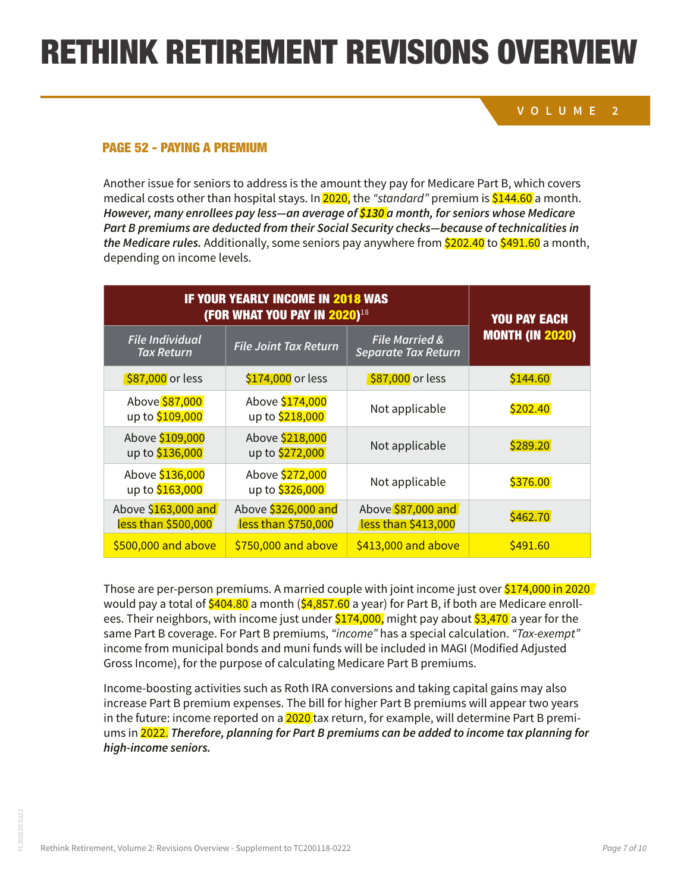# RETHINK RETIREMENT REVISIONS OVERVIEW species preservation

At medicare.gov/find-a-plan/questions/home.aspx, a "Medicare Plan Finder" helps seniors

**VOLUME 2**

# PAGE 52 - PAYING A PREMIUM

Another issue for seniors to address is the amount they pay for Medicare Part B, which covers medical costs other than hospital stays. In  $2020$ , the "standard" premium is  $$144.60$  a month. **However, many enrollees pay less—an average of \$130 a month, for seniors whose Medicare Part B premiums are deducted from their Social Security checks—because of technicalities in**  the Medicare rules. Additionally, some seniors pay anywhere from \$202.40 to \$491.60 a month, depending on income levels.

| <b>IF YOUR YEARLY INCOME IN 2018 WAS</b><br><b>(FOR WHAT YOU PAY IN 2020)</b> <sup>18</sup> |                                            |                                                         | <b>YOU PAY EACH</b>    |
|---------------------------------------------------------------------------------------------|--------------------------------------------|---------------------------------------------------------|------------------------|
| <b>File Individual</b><br><b>Tax Return</b>                                                 | <b>File Joint Tax Return</b>               | <b>File Married &amp;</b><br><b>Separate Tax Return</b> | <b>MONTH (IN 2020)</b> |
| \$87,000 or less                                                                            | \$174,000 or less                          | \$87,000 or less                                        | \$144.60               |
| Above \$87,000<br>up to \$109,000                                                           | Above \$174,000<br>up to \$218,000         | Not applicable                                          | \$202.40               |
| Above \$109,000<br>up to \$136,000                                                          | Above \$218,000<br>up to \$272,000         | Not applicable                                          | \$289.20               |
| Above \$136,000<br>up to \$163,000                                                          | Above \$272,000<br>up to \$326,000         | Not applicable                                          | \$376.00               |
| Above \$163,000 and<br>less than \$500,000                                                  | Above \$326,000 and<br>less than \$750,000 | Above \$87,000 and<br>less than \$413,000               | \$462.70               |
| \$500,000 and above                                                                         | \$750,000 and above                        | \$413,000 and above                                     | \$491.60               |

Those are per-person premiums. A married couple with joint income just over \$174,000 in 2020 would pay a total of  $$404.80$  a month ( $$4,857.60$  a year) for Part B, if both are Medicare enrollees. Their neighbors, with income just under \$174,000, might pay about \$3,470 a year for the same Part B coverage. For Part B premiums, "income" has a special calculation. "Tax-exempt" income from municipal bonds and muni funds will be included in MAGI (Modified Adjusted Gross Income), for the purpose of calculating Medicare Part B premiums.

Income-boosting activities such as Roth IRA conversions and taking capital gains may also increase Part B premium expenses. The bill for higher Part B premiums will appear two years in the future: income reported on a  $2020$  tax return, for example, will determine Part B premiums in 2022. **Therefore, planning for Part B premiums can be added to income tax planning for high-income seniors.**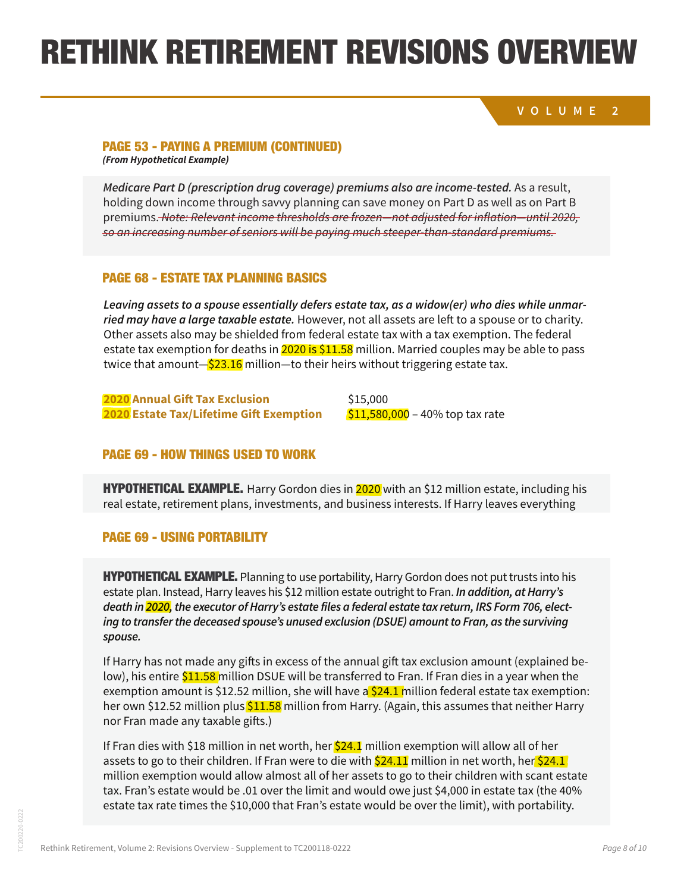## RETHINK RETIREMENT REVISIONS OVERVIEW his long-time employer. Working with his financial and an arrangement to the financial and arrangement to the

#### **VOLUME 2** Whereas, Mike's neighbor, Jill Harris, has built up a Roth IRA over many years. In retirement, has built up a <br>In retirement, has built up a Roth IRA over many years. In retirement, has built up a retirement, has built up

### PAGE 53 - PAYING A PREMIUM (CONTINUED)

enough to avoid the Part B surcharge. *(From Hypothetical Example)*

Part B premiums.

**Medicare Part D (prescription drug coverage) premiums also are income-tested.** As a result, holding down income through savvy planning can save money on Part D as well as on Part B premiums. <del>Note: Relevant income thresholds are frozen—not adjusted for inflation—until 2020,</del> so an increasing number of seniors will be paying much steeper-than-standard premiums. Medical example. Harry Gordon diagrams in 2020 with an including the million estate. As a result, including hi<br>halding down income through covery planning can cove manoy an Dart D ac well as an Dart D reality committee in dugit survy planning can sure money on ture busined so it are business in ture b premiums, note, neteran, meome amesholds are no early not dujusted for militation and exactly so an increasing harriver or semors will be paying mach sleeper linan slandard premiams.

### PAGE 68 - ESTATE TAX PLANNING BASICS<br>. PAGE 68 - ESTATE TAX PLANNING BASICS

Leaving assets to a spouse essentially defers estate tax, as a widow(er) who dies while unmar-<br>. ried may have a large taxable estate. However, not all assets are left to a spouse or to charity. Other assets also may be shielded from federal estate tax with a tax exemption. The federal order that is the t bets to a spoase essentially defers estate tax, as a widowler) who dies while to<br>a large taxable estate. However, not all assets are left to a spouse or to cl<br>is also may be shielded from federal estate tax with a tax exem estate tax exemption for deaths in  $\frac{2020 \text{ is } $11.58}$  million. Married couples may be able to pass twice that amount—<mark>\$23.16</mark> million—to their heirs without triggering estate tax. Assuming the current 40% estate tax rate on nonexempt assets is still in effect, Fran's estate Leaving assets to a spouse essentially defers estate tax, as a widow(er) who dies while unmar-

HYPOTHETICAL EXAMPLE. Linda Martin is 90 years old. She may very well reach 95 or 100, and **2020 Annual Gift Tax Exclusion** \$15,000 whether Harry or Fran would be the first to die **2020 Estate Tax/Lifetime Gift Exemption** \$11,580,000 – 40% top tax rate

## PAGE 69 - HOW THINGS USED TO WORK

**HYPOTHETICAL EXAMPLE.** Harry Gordon dies in <mark>2020</mark> with an \$12 million estate, including his Teat estate, retirement plans, investments, and business interests. If harry leaves everything real estate, retirement plans, investments, and business interests. If Harry leaves everything

## **PAGE 69 - USING PORTABILITY External dies with a net word a net word a net word a net word a net word of \$18 million. The sets she in the sets she in the sets she in the sets she in the sets she in the sets she in the s**

If  $L$  Linda no longer can stay in her home and must go to a nursing home and must go to a nursing home, the national median  $\mathcal{L}$ **HYPOTHETICAL EXAMPLE.** Planning to use portability, Harry Gordon does not put trusts into his estate plan. Instead, Harry leaves his \$12 million estate outright to Fran. *In addition, at Harry's* death in <mark>2020,</mark> the executor of Harry's estate files a federal estate tax return, IRS Form 706, electabed spouse's unused exclusion (DSOL) union ing to transfer the deceased spouse's unused exclusion (DSUE) amount to Fran, as the surviving million to pay the tax bill. In order to avoid such a tax, the Gordon such a tax, the Gordons might have set u<br>Spouse, such as the A and B trusts, to receive some assets at the first spouse's death. Their plan might **spouse.**

**No government program will pay those costs.** Medicare covers medical bills, not LTC. The same -If Harry has not made any gifts in excess of the annual gift tax exclusion amount (explained be low), his entire <mark>\$11.58</mark> million DSUE will be transferred to Fran. If Fran dies in a year when the exemption amount is \$12.52 million, she will have a <mark>\$24.1 m</mark>illion federal estate tax exemption: her own \$12.52 million plus <mark>\$11.58</mark> million from Harry. (Again, this assumes that neither Harry  $\frac{1}{2}$ minuon D30L will be transiened to Franch. **A relatively recent addition to the tax code, commonly considerability, commonly considerability, can make it easier**  $\mathcal{A}$ exemption amount is \$12.52 million, she will have a<mark> \$24.1 </mark>million federal estate tax exemption: nor Fran made any taxable gifts.)

estate tax rate times the \$10,000 that Fran's estate would be over the limit), with portability. Our example uses 90-year-old Linda as someone who is likely to need LTC, but the extremely If Fran dies with \$18 million in net worth, her <mark>\$24.1</mark> million exemption will allow all of her assets to go to their children. If Fran were to die with <mark>\$24.11</mark> million in net worth, her<mark> \$24.1</mark> HOW THINGS USED TO WORK tax. Fran's estate would be .01 over the limit and would owe just \$4,000 in estate tax (the 40% million exemption would allow almost all of her assets to go to their children with scant estate  $\frac{1}{\sqrt{2}}$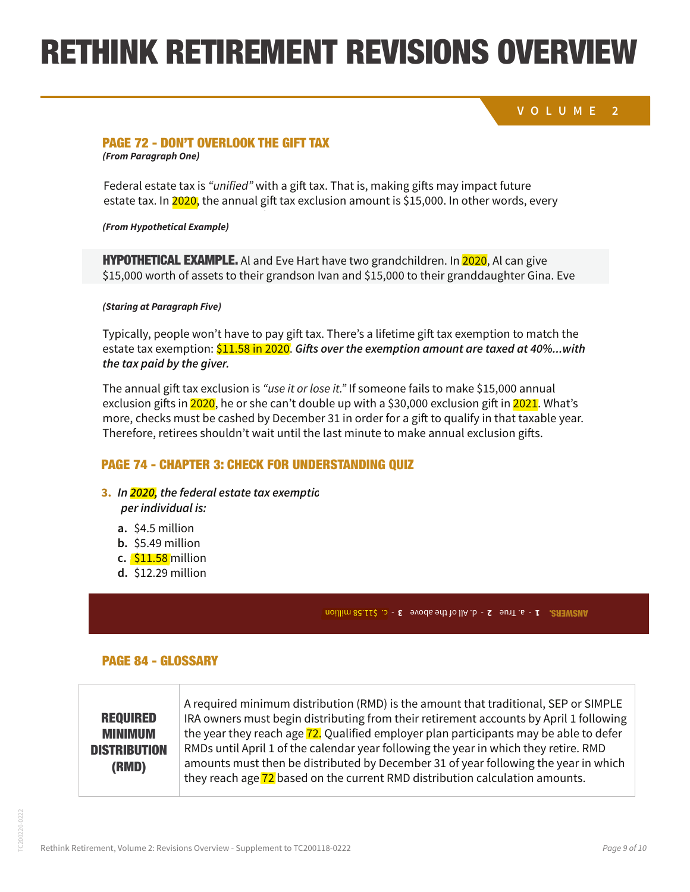#### **RETHINK RETIREMENT REVISIONS OVERVIEW** NK KETIKEWENT KEVISIUNS UVEKI amount of trust assets to the ultimate beneficiaries. perhaps through life insurance or through a bequest of assets beyond those left in the trust. number of recipients. **As long as gifts stay under the limit, there is no need to file a gift tax return.** Married couples can give up to \$30,000 per recipient, from a joint account. They also can split gifts, meaning one spouse can use the other spouse can use the other spouse  $\alpha$

Also, the secondary beneficiaries' near-term financial concerns should be addressed,

#### **PERMANU LIFE INSURANCE INSURANCE INSURANCE INSURANCE INSURANCE IN THE S** Federal estate tax is "unified" with a gift tax. That is, making gift tax. That is, making gifts may impact future

#### **CONSTAND TO VERLOOK THE GIFT TAX CHECK FOR UNDERSTANDING CONSTANT OF STAY STAY UNDER**<br>
Commodial *Check Form Paragraph One*) estate tax. In 2020, the annual gift tax exclusion amount is \$15,000. In other words, every PAGE 72 - DON'T OVERLOOK THE GIFT TAX consequences, with no tax consequences, with no tax consequences, to any HYPOTHETICAL EXAMPLE AL AND EVER HAVE TO GRAND AND EVER HAVE TWO GRANDCHILDREN. IN 2020, ALL CAN GIVE TWO GRANDC **FAUE IZ " UUN I UVENLUUN INE UIFI IAA**<br>(Fran Daraxrah Osa) **PAGE 72 - DON'T OVERLOOK THE GIFT TAX**

DON'T OVERLOOK THE GIFT TAX

 $\alpha$  to the same of  $\alpha$  total of  $\alpha$  taxable estate. Alternatively, Alternatively, Alternatively, Al can give  $\alpha$ 

Federal estate tax is "unified" with a gift tax. That is, making gifts may impact future estate tax. In <mark>2020,</mark> the annual gift tax exclusion amount is \$15,000. In other words, every **return.** Married couples can give up to \$30,000 per recipient, from a joint account. They also Federal estate tax is "*unified"* with a gift tax. That is, making gifts may impact future  $t_{\text{total}}$  of the grandchildren  $\mathcal{L}_{\text{total}}$  of  $\mathcal{L}_{\text{total}}$  and the couple must find the couple must find the couple of  $\mathcal{L}_{\text{total}}$ rederate state tax is annied with a gift tax. That is, making gifts may impact future tax consequences. The consequences of the consequence of the state of the direct words, they also reduce the sta

(From Hypothetical Example)

**HYPOTHETICAL EXAMPLE.** Al and Eve Hart have two grandchildren. In <mark>2020</mark>, Al can give \$15,000 worth of assets to their grandson Ivan and \$15,000 to their granddaughter Gina. Eve HYPOTHETICAL EXAMPLE. George Morris makes total lifetime gifts of \$500,000 in excess of **htPUTHETIGAL EXAMPLE.** All and Eve Hart have two grandchildren. In <mark>2020</mark>, Al can give **HYPOTHETICAL EXAMPLE** ALand Eve Hart ba **b. 2008 millions car**<br>External of the C b,000 worth or as<mark>s</mark>

the grandchildren  $\mathbf{A}$  and the couple must file a gift tax return, to  $\mathbf{B}$  a gift tax return, to  $\mathbf{B}$ **d.** \$12.29 million *(Staring at Paragraph Five)*

Typically, people won't have to pay gift tax. There's a lifetime gift tax exemption to match the estate tax exemption: \$11.58 in 2020. Gifts over the exemption amount are taxed at 40%...with can do the same, moving a total of \$60,000 from their taxable estate. Alternatively, Al can give **the tax paid by the giver. to provide:**

The annual gift tax exclusion is *"use it or lose it."* If someone fails to make \$15,000 annual exclusion gifts in <mark>2020</mark>, he or she can't double up with a \$30,000 exclusion gift in <mark>2021</mark>. What's more, checks must be cashed by December 31 in order for a gift to qualify in that taxable year.  $H_{\rm eff}$  is the  $\sim 10^{-10}$  makes total lifetime gifts of  $\sim 10^{-10}$  in excess of  $\sim 500$ Therefore, retirees shouldn't wait until the last minute to make annual exclusion gifts.

The annual gift tax exclusion is "use it or lose it or lose it." If some fails to make  $15,000$ 

Therefore, retire $\mathcal{C}$  should not minute to make annual exclusion gifts. The last minute to make an  $\mathcal{C}$ 

## **PAGE 74 - CHAPTER 3: CHECK FOR UNDERSTANDING QUIZ**

# **3.** In <mark>2020,</mark> the federal estate tax exemptio

 $\mu$  annual gift tax exclusion is  $\mu$  it or lose it. The main someone fails to make  $\mu$ **per individual is:**

- $T_{\rm r}$  and  $T_{\rm r}$  a lifetime gift tax. There is a lifetime gift tax exemption to match tax exemption to match the second the match tax exemption to match the second the match tax exemption to match the second tax exem **a.**  $\frac{1}{2}$  54.5 million **72** Rethink Retirement Chapter 3: Basics of Estate Planning **72 a.** \$4.5 million
	- **b.**  $\frac{1}{2}$ ,  $\frac{1}{2}$ ,  $\frac{1}{2}$ ,  $\frac{1}{2}$ ,  $\frac{1}{2}$ ,  $\frac{1}{2}$ ,  $\frac{1}{2}$ ,  $\frac{1}{2}$ ,  $\frac{1}{2}$ ,  $\frac{1}{2}$ ,  $\frac{1}{2}$ ,  $\frac{1}{2}$ ,  $\frac{1}{2}$ ,  $\frac{1}{2}$ ,  $\frac{1}{2}$ ,  $\frac{1}{2}$ ,  $\frac{1}{2}$ ,  $\frac{1}{2}$ ,  $\frac{1}{2}$ ,  $\frac{1}{2}$ **b.**  $\text{55.49}$  million **b.** \$5.49 million
	- **the state giver shouldn't wait until the last minute to make an intervention gifts.**<br> **c.** \$11.58 million
		- **d.** \$12.29 million

## more, checks must be cashed by December 31 in order for a gift to qualify in that taxable year. **74** - c. \$11.58 million **3** - d. All of the above **2** - a. True **1** ANSWERS.

## PAGE 84 - GLOSSARY

|                     | A required minimum distribution (RMD) is the amount that traditional, SEP or SIMPLE    |
|---------------------|----------------------------------------------------------------------------------------|
| <b>REQUIRED</b>     | IRA owners must begin distributing from their retirement accounts by April 1 following |
| <b>MINIMUM</b>      | the year they reach age 72. Qualified employer plan participants may be able to defer  |
| <b>DISTRIBUTION</b> | RMDs until April 1 of the calendar year following the year in which they retire. RMD   |
| (RMD)               | amounts must then be distributed by December 31 of year following the year in which    |
|                     | they reach age 72 based on the current RMD distribution calculation amounts.           |